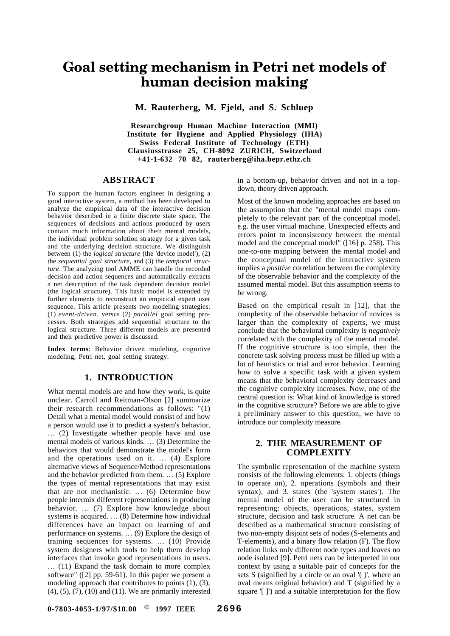### **Goal setting mechanism in Petri net models of human decision making**

**M. Rauterberg, M. Fjeld, and S. Schluep**

**Researchgroup Human Machine Interaction (MMI) Institute for Hygiene and Applied Physiology (IHA) Swiss Federal Institute of Technology (ETH) Clausiusstrasse 25, CH-8092 ZURICH, Switzerland +41-1-632 70 82, rauterberg@iha.bepr.ethz.ch**

#### **ABSTRACT**

To support the human factors engineer in designing a good interactive system, a method has been developed to analyze the empirical data of the interactive decision behavior described in a finite discrete state space. The sequences of decisions and actions produced by users contain much information about their mental models, the individual problem solution strategy for a given task and the underlying decision structure. We distinguish between (1) the *logical structure* (the 'device model'), (2) the *sequential goal structure,* and (3) the *temporal structure*. The analyzing tool AMME can handle the recorded decision and action sequences and automatically extracts a net description of the task dependent decision model (the logical structure). This basic model is extended by further elements to reconstruct an empirical expert user sequence. This article presents two modeling strategies: (1) *event-driven,* versus (2) *parallel* goal setting processes. Both strategies add sequential structure to the logical structure. Three different models are presented and their predictive power is discussed.

**Index terms**: Behavior driven modeling, cognitive modeling, Petri net, goal setting strategy.

#### **1. INTRODUCTION**

What mental models are and how they work, is quite unclear. Carroll and Reitman-Olson [2] summarize their research recommendations as follows: "(1) Detail what a mental model would consist of and how a person would use it to predict a system's behavior. … (2) Investigate whether people have and use mental models of various kinds. … (3) Determine the behaviors that would demonstrate the model's form and the operations used on it. … (4) Explore alternative views of Sequence/Method representations and the behavior predicted from them. … (5) Explore the types of mental representations that may exist that are not mechanistic. … (6) Determine how people intermix different representations in producing behavior. … (7) Explore how knowledge about systems is acquired. … (8) Determine how individual differences have an impact on learning of and performance on systems. … (9) Explore the design of training sequences for systems. … (10) Provide system designers with tools to help them develop interfaces that invoke good representations in users. … (11) Expand the task domain to more complex software" ([2] pp. 59-61). In this paper we present a modeling approach that contributes to points (1), (3), (4), (5), (7), (10) and (11). We are primarily interested in a bottom-up, behavior driven and not in a topdown, theory driven approach.

Most of the known modeling approaches are based on the assumption that the "mental model maps completely to the relevant part of the conceptual model, e.g. the user virtual machine. Unexpected effects and errors point to inconsistency between the mental model and the conceptual model" ([16] p. 258). This one-to-one mapping between the mental model and the conceptual model of the interactive system implies a *positive* correlation between the complexity of the observable behavior and the complexity of the assumed mental model. But this assumption seems to be wrong.

Based on the empirical result in [12], that the complexity of the observable behavior of novices is larger than the complexity of experts, we must conclude that the behavioral complexity is *negatively* correlated with the complexity of the mental model. If the cognitive structure is too simple, then the concrete task solving process must be filled up with a lot of heuristics or trial and error behavior. Learning how to solve a specific task with a given system means that the behavioral complexity decreases and the cognitive complexity increases. Now, one of the central question is: What kind of knowledge is stored in the cognitive structure? Before we are able to give a preliminary answer to this question, we have to introduce our complexity measure.

#### **2. THE MEASUREMENT OF COMPLEXITY**

The symbolic representation of the machine system consists of the following elements: 1. objects (things to operate on), 2. operations (symbols and their syntax), and 3. states (the 'system states'). The mental model of the user can be structured in representing: objects, operations, states, system structure, decision and task structure. A net can be described as a mathematical structure consisting of two non-empty disjoint sets of nodes (S-elements and T-elements), and a binary flow relation (F). The flow relation links only different node types and leaves no node isolated [9]. Petri nets can be interpreted in our context by using a suitable pair of concepts for the sets S (signified by a circle or an oval '( )', where an oval means original behavior) and T (signified by a square '[ ]') and a suitable interpretation for the flow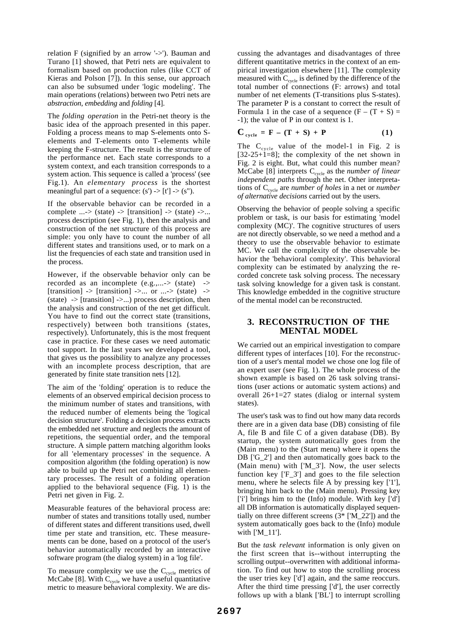relation F (signified by an arrow '->'). Bauman and Turano [1] showed, that Petri nets are equivalent to formalism based on production rules (like CCT of Kieras and Polson [7]). In this sense, our approach can also be subsumed under 'logic modeling'. The main operations (relations) between two Petri nets are *abstraction*, *embedding* and *folding* [4].

The *folding operation* in the Petri-net theory is the basic idea of the approach presented in this paper. Folding a process means to map S-elements onto Selements and T-elements onto T-elements while keeping the F-structure. The result is the structure of the performance net. Each state corresponds to a system context, and each transition corresponds to a system action. This sequence is called a 'process' (see Fig.1). An *elementary process* is the shortest meaningful part of a sequence:  $(s') \rightarrow [t'] \rightarrow (s'')$ .

If the observable behavior can be recorded in a complete ...-> (state) -> [transition] -> (state) ->... process description (see Fig. 1), then the analysis and construction of the net structure of this process are simple: you only have to count the number of all different states and transitions used, or to mark on a list the frequencies of each state and transition used in the process.

However, if the observable behavior only can be recorded as an incomplete (e.g.,...-> (state) ->  $[transition] \rightarrow [transition] \rightarrow \dots$  or  $\ldots \rightarrow (state) \rightarrow$  $(\text{state}) \rightarrow [\text{transition}] \rightarrow \ldots$ ) process description, then the analysis and construction of the net get difficult. You have to find out the correct state (transitions, respectively) between both transitions (states, respectively). Unfortunately, this is the most frequent case in practice. For these cases we need automatic tool support. In the last years we developed a tool, that gives us the possibility to analyze any processes with an incomplete process description, that are generated by finite state transition nets [12].

The aim of the 'folding' operation is to reduce the elements of an observed empirical decision process to the minimum number of states and transitions, with the reduced number of elements being the 'logical decision structure'. Folding a decision process extracts the embedded net structure and neglects the amount of repetitions, the sequential order, and the temporal structure. A simple pattern matching algorithm looks for all 'elementary processes' in the sequence. A composition algorithm (the folding operation) is now able to build up the Petri net combining all elementary processes. The result of a folding operation applied to the behavioral sequence (Fig. 1) is the Petri net given in Fig. 2.

Measurable features of the behavioral process are: number of states and transitions totally used, number of different states and different transitions used, dwell time per state and transition, etc. These measurements can be done, based on a protocol of the user's behavior automatically recorded by an interactive software program (the dialog system) in a 'log file'.

To measure complexity we use the  $C_{cycle}$  metrics of McCabe [8]. With  $C_{cycle}$  we have a useful quantitative metric to measure behavioral complexity. We are discussing the advantages and disadvantages of three different quantitative metrics in the context of an empirical investigation elsewhere [11]. The complexity measured with  $C_{cycle}$  is defined by the difference of the total number of connections (F: arrows) and total number of net elements (T-transitions plus S-states). The parameter P is a constant to correct the result of Formula 1 in the case of a sequence  $(F - (T + S)) =$ -1); the value of P in our context is 1.

$$
\mathbf{C}_{\text{cycle}} = \mathbf{F} - (\mathbf{T} + \mathbf{S}) + \mathbf{P} \tag{1}
$$

The  $C_{cycle}$  value of the model-1 in Fig. 2 is  $[32-25+1]=8$ ; the complexity of the net shown in Fig. 2 is eight. But, what could this number mean? McCabe [8] interprets C<sub>cycle</sub> as the *number of linear independent paths* through the net. Other interpretations of Ccycle are *number of holes* in a net or *number of alternative decisions* carried out by the users.

Observing the behavior of people solving a specific problem or task, is our basis for estimating 'model complexity (MC)'. The cognitive structures of users are not directly observable, so we need a method and a theory to use the observable behavior to estimate MC. We call the complexity of the observable behavior the 'behavioral complexity'. This behavioral complexity can be estimated by analyzing the recorded concrete task solving process. The necessary task solving knowledge for a given task is constant. This knowledge embedded in the cognitive structure of the mental model can be reconstructed.

#### **3. RECONSTRUCTION OF THE MENTAL MODEL**

We carried out an empirical investigation to compare different types of interfaces [10]. For the reconstruction of a user's mental model we chose one log file of an expert user (see Fig. 1). The whole process of the shown example is based on 26 task solving transitions (user actions or automatic system actions) and overall 26+1=27 states (dialog or internal system states).

The user's task was to find out how many data records there are in a given data base (DB) consisting of file A, file B and file C of a given database (DB). By startup, the system automatically goes from the (Main menu) to the (Start menu) where it opens the DB ['G\_2'] and then automatically goes back to the (Main menu) with ['M\_3']. Now, the user selects function key ['F\_3'] and goes to the file selection menu, where he selects file A by pressing key ['1'], bringing him back to the (Main menu). Pressing key ['i'] brings him to the (Info) module. With key ['d'] all DB information is automatically displayed sequentially on three different screens  $(3^*$  [' $M_22$ ']) and the system automatically goes back to the (Info) module with ['M\_11'].

But the *task relevant* information is only given on the first screen that is--without interrupting the scrolling output--overwritten with additional information. To find out how to stop the scrolling process the user tries key ['d'] again, and the same reoccurs. After the third time pressing ['d'], the user correctly follows up with a blank ['BL'] to interrupt scrolling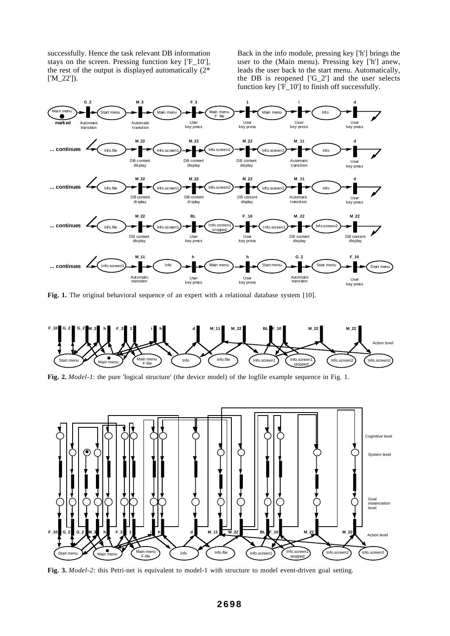successfully. Hence the task relevant DB information stays on the screen. Pressing function key ['F\_10'], the rest of the output is displayed automatically  $(2^*)$ ['M\_22']).

Back in the info module, pressing key ['h'] brings the user to the (Main menu). Pressing key ['h'] anew, leads the user back to the start menu. Automatically, the DB is reopened ['G\_2'] and the user selects function key ['F\_10'] to finish off successfully.



**Fig. 1.** The original behavioral sequence of an expert with a relational database system [10].



**Fig. 2.** *Model-1*: the pure 'logical structure' (the device model) of the logfile example sequence in Fig. 1.



**Fig. 3.** *Model-2*: this Petri-net is equivalent to model-1 with structure to model event-driven goal setting.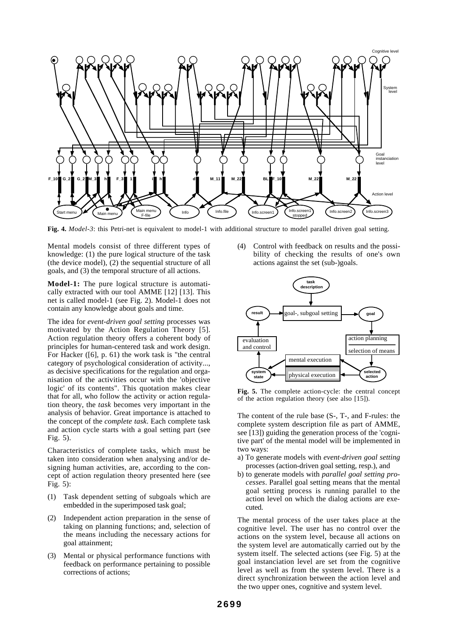

**Fig. 4.** *Model-3*: this Petri-net is equivalent to model-1 with additional structure to model parallel driven goal setting.

Mental models consist of three different types of knowledge: (1) the pure logical structure of the task (the device model), (2) the sequential structure of all goals, and (3) the temporal structure of all actions.

**Model-1:** The pure logical structure is automatically extracted with our tool AMME [12] [13]. This net is called model-1 (see Fig. 2). Model-1 does not contain any knowledge about goals and time.

The idea for *event-driven goal setting* processes was motivated by the Action Regulation Theory [5]. Action regulation theory offers a coherent body of principles for human-centered task and work design. For Hacker ([6], p. 61) the work task is "the central category of psychological consideration of activity..., as decisive specifications for the regulation and organisation of the activities occur with the 'objective logic' of its contents". This quotation makes clear that for all, who follow the activity or action regulation theory, the *task* becomes very important in the analysis of behavior. Great importance is attached to the concept of the *complete task*. Each complete task and action cycle starts with a goal setting part (see Fig. 5).

Characteristics of complete tasks, which must be taken into consideration when analysing and/or designing human activities, are, according to the concept of action regulation theory presented here (see Fig. 5):

- (1) Task dependent setting of subgoals which are embedded in the superimposed task goal;
- (2) Independent action preparation in the sense of taking on planning functions; and, selection of the means including the necessary actions for goal attainment;
- (3) Mental or physical performance functions with feedback on performance pertaining to possible corrections of actions;

(4) Control with feedback on results and the possibility of checking the results of one's own actions against the set (sub-)goals.



**Fig. 5.** The complete action-cycle: the central concept of the action regulation theory (see also [15]).

The content of the rule base (S-, T-, and F-rules: the complete system description file as part of AMME, see [13]) guiding the generation process of the 'cognitive part' of the mental model will be implemented in two ways:

- a) To generate models with *event-driven goal setting* processes (action-driven goal setting, resp.), and
- b) to generate models with *parallel goal setting processes*. Parallel goal setting means that the mental goal setting process is running parallel to the action level on which the dialog actions are executed.

The mental process of the user takes place at the cognitive level. The user has no control over the actions on the system level, because all actions on the system level are automatically carried out by the system itself. The selected actions (see Fig. 5) at the goal instanciation level are set from the cognitive level as well as from the system level. There is a direct synchronization between the action level and the two upper ones, cognitive and system level.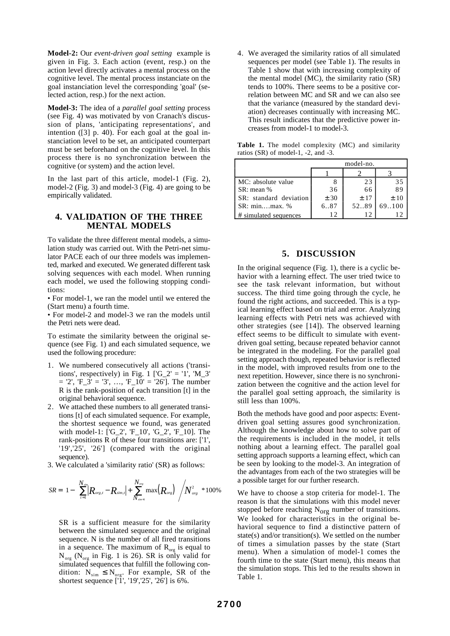**Model-2:** Our *event-driven goal setting* example is given in Fig. 3. Each action (event, resp.) on the action level directly activates a mental process on the cognitive level. The mental process instanciate on the goal instanciation level the corresponding 'goal' (selected action, resp.) for the next action.

**Model-3:** The idea of a *parallel goal setting* process (see Fig. 4) was motivated by von Cranach's discussion of plans, 'anticipating representations', and intention ([3] p. 40). For each goal at the goal instanciation level to be set, an anticipated counterpart must be set beforehand on the cognitive level. In this process there is no synchronization between the cognitive (or system) and the action level.

In the last part of this article, model-1 (Fig. 2), model-2 (Fig. 3) and model-3 (Fig. 4) are going to be empirically validated.

#### **4. VALIDATION OF THE THREE MENTAL MODELS**

To validate the three different mental models, a simulation study was carried out. With the Petri-net simulator PACE each of our three models was implemented, marked and executed. We generated different task solving sequences with each model. When running each model, we used the following stopping conditions:

• For model-1, we ran the model until we entered the (Start menu) a fourth time.

• For model-2 and model-3 we ran the models until the Petri nets were dead.

To estimate the similarity between the original sequence (see Fig. 1) and each simulated sequence, we used the following procedure:

- 1. We numbered consecutively all actions ('transitions', respectively) in Fig. 1 [' $G_2$ ' = '1', ' $M_3$ '  $=$  '2', 'F\_3' = '3', ..., 'F\_10' = '26']. The number R is the rank-position of each transition [t] in the original behavioral sequence.
- 2. We attached these numbers to all generated transitions [t] of each simulated sequence. For example, the shortest sequence we found, was generated with model-1: ['G\_2', 'F\_10', 'G\_2', 'F\_10]. The rank-positions R of these four transitions are: ['1', '19','25', '26'] (compared with the original sequence).
- 3. We calculated a 'similarity ratio' (SR) as follows:

$$
SR = \left[1 - \left\{\sum_{t=1}^{N_{sim}} |R_{org,t} - R_{sim,t}| + \sum_{N_{sim+1}}^{N_{org}} \max(R_{org})\right\} / N_{org}^2\right] * 100\%
$$

SR is a sufficient measure for the similarity between the simulated sequence and the original sequence. N is the number of all fired transitions in a sequence. The maximum of  $R_{org}$  is equal to  $N_{org}$  ( $N_{org}$  in Fig. 1 is 26). SR is only valid for simulated sequences that fulfill the following condition:  $N_{sim} \le N_{org}$ . For example, SR of the shortest sequence ['1', '19','25', '26'] is 6%.

4. We averaged the similarity ratios of all simulated sequences per model (see Table 1). The results in Table 1 show that with increasing complexity of the mental model (MC), the similarity ratio (SR) tends to 100%. There seems to be a positive correlation between MC and SR and we can also see that the variance (measured by the standard deviation) decreases continually with increasing MC. This result indicates that the predictive power increases from model-1 to model-3.

**Table 1.** The model complexity (MC) and similarity ratios (SR) of model-1, -2, and -3.

|                        | model-no. |       |        |
|------------------------|-----------|-------|--------|
|                        |           |       |        |
| MC: absolute value     |           | 23    | 35     |
| SR: mean %             | 36        | 66    | 89     |
| SR: standard deviation | ± 30      | $+17$ | $+10$  |
| $SR: minmax.$ %        | 6.87      | 52.89 | 69.100 |
| # simulated sequences  | 12        |       |        |

#### **5. DISCUSSION**

In the original sequence (Fig. 1), there is a cyclic behavior with a learning effect. The user tried twice to see the task relevant information, but without success. The third time going through the cycle, he found the right actions, and succeeded. This is a typical learning effect based on trial and error. Analyzing learning effects with Petri nets was achieved with other strategies (see [14]). The observed learning effect seems to be difficult to simulate with eventdriven goal setting, because repeated behavior cannot be integrated in the modeling. For the parallel goal setting approach though, repeated behavior is reflected in the model, with improved results from one to the next repetition. However, since there is no synchronization between the cognitive and the action level for the parallel goal setting approach, the similarity is still less than 100%.

Both the methods have good and poor aspects: Eventdriven goal setting assures good synchronization. Although the knowledge about how to solve part of the requirements is included in the model, it tells nothing about a learning effect. The parallel goal setting approach supports a learning effect, which can be seen by looking to the model-3. An integration of the advantages from each of the two strategies will be a possible target for our further research.

We have to choose a stop criteria for model-1. The reason is that the simulations with this model never stopped before reaching  $N<sub>org</sub>$  number of transitions. We looked for characteristics in the original behavioral sequence to find a distinctive pattern of state(s) and/or transition(s). We settled on the number of times a simulation passes by the state (Start menu). When a simulation of model-1 comes the fourth time to the state (Start menu), this means that the simulation stops. This led to the results shown in Table 1.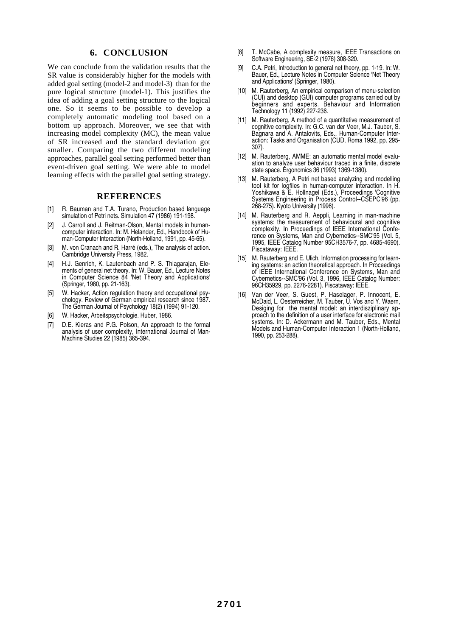#### **6. CONCLUSION**

We can conclude from the validation results that the SR value is considerably higher for the models with added goal setting (model-2 and model-3) than for the pure logical structure (model-1). This justifies the idea of adding a goal setting structure to the logical one. So it seems to be possible to develop a completely automatic modeling tool based on a bottom up approach. Moreover, we see that with increasing model complexity (MC), the mean value of SR increased and the standard deviation got smaller. Comparing the two different modeling approaches, parallel goal setting performed better than event-driven goal setting. We were able to model learning effects with the parallel goal setting strategy.

#### **REFERENCES**

- [1] R. Bauman and T.A. Turano, Production based language simulation of Petri nets. Simulation 47 (1986) 191-198.
- [2] J. Carroll and J. Reitman-Olson, Mental models in humancomputer interaction. In: M. Helander, Ed., Handbook of Human-Computer Interaction (North-Holland, 1991, pp. 45-65).
- M. von Cranach and R. Harré (eds.), The analysis of action. Cambridge University Press, 1982.
- [4] H.J. Genrich, K. Lautenbach and P. S. Thiagaraian, Elements of general net theory. In: W. Bauer, Ed., Lecture Notes in Computer Science 84 'Net Theory and Applications' (Springer, 1980, pp. 21-163).
- [5] W. Hacker, Action regulation theory and occupational psychology. Review of German empirical research since 1987. The German Journal of Psychology 18(2) (1994) 91-120.
- W. Hacker, Arbeitspsychologie. Huber, 1986.
- [7] D.E. Kieras and P.G. Polson, An approach to the formal analysis of user complexity, International Journal of Man-Machine Studies 22 (1985) 365-394.
- [8] T. McCabe, A complexity measure, IEEE Transactions on Software Engineering, SE-2 (1976) 308-320.
- [9] C.A. Petri, Introduction to general net theory, pp. 1-19. In: W. Bauer, Ed., Lecture Notes in Computer Science 'Net Theory and Applications' (Springer, 1980).
- [10] M. Rauterberg, An empirical comparison of menu-selection (CUI) and desktop (GUI) computer programs carried out by beginners and experts. Behaviour and Information Technology 11 (1992) 227-236.
- [11] M. Rauterberg, A method of a quantitative measurement of cognitive complexity. In: G.C. van der Veer, M.J. Tauber, S. Bagnara and A. Antalovits, Eds., Human-Computer Interaction: Tasks and Organisation (CUD, Roma 1992, pp. 295- 307).
- [12] M. Rauterberg, AMME: an automatic mental model evaluation to analyze user behaviour traced in a finite, discrete state space. Ergonomics 36 (1993) 1369-1380).
- [13] M. Rauterberg, A Petri net based analyzing and modelling tool kit for logfiles in human-computer interaction. In H. Yoshikawa & E. Hollnagel (Eds.), Proceedings 'Cognitive Systems Engineering in Process Control--CSEPC'96 (pp. 268-275). Kyoto University (1996).
- [14] M. Rauterberg and R. Aeppli, Learning in man-machine systems: the measurement of behavioural and cognitive complexity. In Proceedings of IEEE International Conference on Systems, Man and Cybernetics--SMC'95 (Vol. 5, 1995, IEEE Catalog Number 95CH3576-7, pp. 4685-4690). Piscataway: IEEE.
- [15] M. Rauterberg and E. Ulich, Information processing for learning systems: an action theoretical approach. In Proceedings of IEEE International Conference on Systems, Man and Cybernetics--SMC'96 (Vol. 3, 1996, IEEE Catalog Number: 96CH35929, pp. 2276-2281). Piscataway: IEEE.
- [16] Van der Veer, S. Guest, P. Haselager, P. Innocent, E. McDaid, L. Oesterreicher, M. Tauber, U. Vos and Y. Waern, Desiging for the mental model: an interdisziplinary approach to the definition of a user interface for electronic mail systems. In: D. Ackermann and M. Tauber, Eds., Mental Models and Human-Computer Interaction 1 (North-Holland, 1990, pp. 253-288).